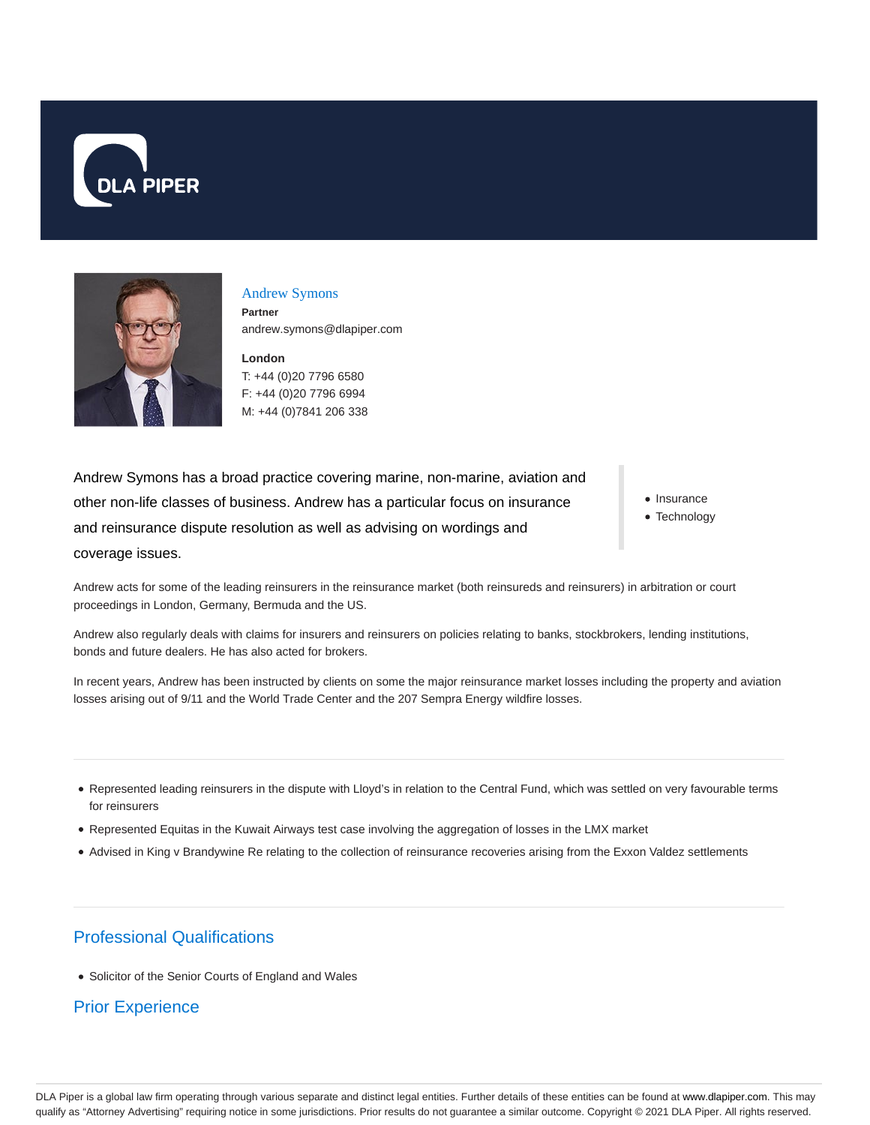



#### Andrew Symons

**Partner** andrew.symons@dlapiper.com

**London** T: +44 (0)20 7796 6580 F: +44 (0)20 7796 6994 M: +44 (0)7841 206 338

Andrew Symons has a broad practice covering marine, non-marine, aviation and other non-life classes of business. Andrew has a particular focus on insurance and reinsurance dispute resolution as well as advising on wordings and coverage issues.

• Insurance

• Technology

Andrew acts for some of the leading reinsurers in the reinsurance market (both reinsureds and reinsurers) in arbitration or court proceedings in London, Germany, Bermuda and the US.

Andrew also regularly deals with claims for insurers and reinsurers on policies relating to banks, stockbrokers, lending institutions, bonds and future dealers. He has also acted for brokers.

In recent years, Andrew has been instructed by clients on some the major reinsurance market losses including the property and aviation losses arising out of 9/11 and the World Trade Center and the 207 Sempra Energy wildfire losses.

- Represented leading reinsurers in the dispute with Lloyd's in relation to the Central Fund, which was settled on very favourable terms for reinsurers
- Represented Equitas in the Kuwait Airways test case involving the aggregation of losses in the LMX market
- Advised in King v Brandywine Re relating to the collection of reinsurance recoveries arising from the Exxon Valdez settlements

# Professional Qualifications

Solicitor of the Senior Courts of England and Wales

#### Prior Experience

DLA Piper is a global law firm operating through various separate and distinct legal entities. Further details of these entities can be found at www.dlapiper.com. This may qualify as "Attorney Advertising" requiring notice in some jurisdictions. Prior results do not guarantee a similar outcome. Copyright @ 2021 DLA Piper. All rights reserved.